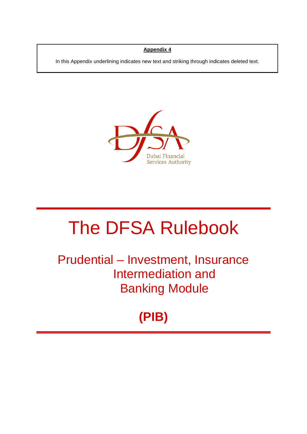#### **Appendix 4**

In this Appendix underlining indicates new text and striking through indicates deleted text.

In this Appendix underlining indicates new text and striking through indicates deleted text.



# The DFSA Rulebook

Prudential – Investment, Insurance Intermediation and Banking Module

# **(PIB)**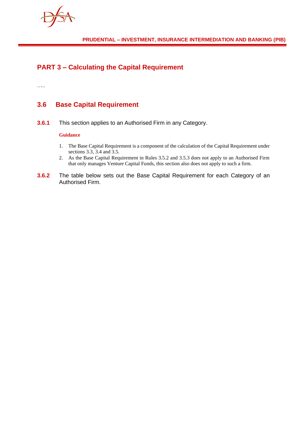

# **PART 3 – Calculating the Capital Requirement**

…..

### **3.6 Base Capital Requirement**

**3.6.1** This section applies to an Authorised Firm in any Category.

#### **Guidance**

- 1. The Base Capital Requirement is a component of the calculation of the Capital Requirement under sections 3.3, 3.4 and 3.5.
- 2. As the Base Capital Requirement in Rules 3.5.2 and 3.5.3 does not apply to an Authorised Firm that only manages Venture Capital Funds, this section also does not apply to such a firm.
- **3.6.2** The table below sets out the Base Capital Requirement for each Category of an Authorised Firm.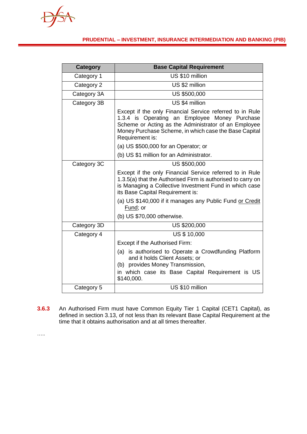#### **PRUDENTIAL – INVESTMENT, INSURANCE INTERMEDIATION AND BANKING (PIB)**

| <b>Category</b> | <b>Base Capital Requirement</b>                                                                                                                                                                                                               |  |  |  |  |
|-----------------|-----------------------------------------------------------------------------------------------------------------------------------------------------------------------------------------------------------------------------------------------|--|--|--|--|
| Category 1      | US \$10 million                                                                                                                                                                                                                               |  |  |  |  |
| Category 2      | US \$2 million                                                                                                                                                                                                                                |  |  |  |  |
| Category 3A     | US \$500,000                                                                                                                                                                                                                                  |  |  |  |  |
| Category 3B     | US \$4 million                                                                                                                                                                                                                                |  |  |  |  |
|                 | Except if the only Financial Service referred to in Rule<br>1.3.4 is Operating an Employee Money Purchase<br>Scheme or Acting as the Administrator of an Employee<br>Money Purchase Scheme, in which case the Base Capital<br>Requirement is: |  |  |  |  |
|                 | (a) US \$500,000 for an Operator; or                                                                                                                                                                                                          |  |  |  |  |
|                 | (b) US \$1 million for an Administrator.                                                                                                                                                                                                      |  |  |  |  |
| Category 3C     | <b>US \$500,000</b>                                                                                                                                                                                                                           |  |  |  |  |
|                 | Except if the only Financial Service referred to in Rule<br>1.3.5(a) that the Authorised Firm is authorised to carry on<br>is Managing a Collective Investment Fund in which case<br>its Base Capital Requirement is:                         |  |  |  |  |
|                 | (a) US \$140,000 if it manages any Public Fund or Credit<br>Fund; or                                                                                                                                                                          |  |  |  |  |
|                 | (b) US \$70,000 otherwise.                                                                                                                                                                                                                    |  |  |  |  |
| Category 3D     | US \$200,000                                                                                                                                                                                                                                  |  |  |  |  |
| Category 4      | <b>US \$ 10,000</b>                                                                                                                                                                                                                           |  |  |  |  |
|                 | Except if the Authorised Firm:                                                                                                                                                                                                                |  |  |  |  |
|                 | (a) is authorised to Operate a Crowdfunding Platform<br>and it holds Client Assets; or<br>(b) provides Money Transmission,<br>in which case its Base Capital Requirement is US<br>\$140,000.                                                  |  |  |  |  |
| Category 5      | US \$10 million                                                                                                                                                                                                                               |  |  |  |  |

**3.6.3** An Authorised Firm must have Common Equity Tier 1 Capital (CET1 Capital), as defined in section 3.13, of not less than its relevant Base Capital Requirement at the time that it obtains authorisation and at all times thereafter.

…..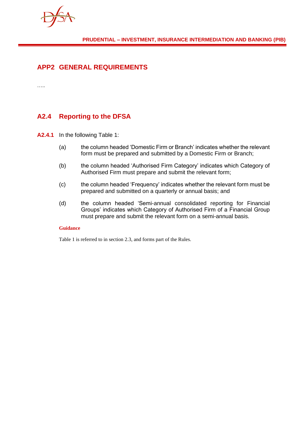

### **APP2 GENERAL REQUIREMENTS**

…..

## **A2.4 Reporting to the DFSA**

**A2.4.1** In the following Table 1:

- (a) the column headed 'Domestic Firm or Branch' indicates whether the relevant form must be prepared and submitted by a Domestic Firm or Branch;
- (b) the column headed 'Authorised Firm Category' indicates which Category of Authorised Firm must prepare and submit the relevant form;
- (c) the column headed 'Frequency' indicates whether the relevant form must be prepared and submitted on a quarterly or annual basis; and
- (d) the column headed 'Semi-annual consolidated reporting for Financial Groups' indicates which Category of Authorised Firm of a Financial Group must prepare and submit the relevant form on a semi-annual basis.

#### **Guidance**

Table 1 is referred to in section 2.3, and forms part of the Rules.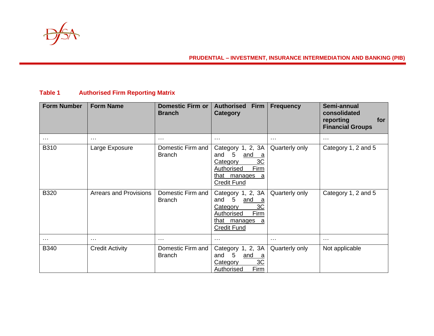

#### **PRUDENTIAL – INVESTMENT, INSURANCE INTERMEDIATION AND BANKING (PIB)**

#### **Table 1 Authorised Firm Reporting Matrix**

| <b>Form Number</b> | <b>Form Name</b>              | <b>Domestic Firm or</b><br><b>Branch</b> | <b>Authorised</b><br><b>Firm</b><br><b>Category</b>                                                                                            | <b>Frequency</b> | Semi-annual<br>consolidated<br>reporting<br>for<br><b>Financial Groups</b> |
|--------------------|-------------------------------|------------------------------------------|------------------------------------------------------------------------------------------------------------------------------------------------|------------------|----------------------------------------------------------------------------|
| $\cdots$           | $\sim$ $\sim$ $\sim$          | $\cdots$                                 | $\cdots$                                                                                                                                       | $\cdots$         | $\cdots$                                                                   |
| <b>B310</b>        | Large Exposure                | Domestic Firm and<br><b>Branch</b>       | Category 1, 2, 3A<br>5<br>and<br><u>and</u><br>- a<br>3C<br>Category<br>Firm<br><b>Authorised</b><br>that manages<br>- a<br><b>Credit Fund</b> | Quarterly only   | Category 1, 2 and 5                                                        |
| <b>B320</b>        | <b>Arrears and Provisions</b> | Domestic Firm and<br><b>Branch</b>       | Category 1, 2, 3A<br>5<br>and<br>and<br>3C<br>Category<br>Firm<br>Authorised<br>that manages<br>a<br><b>Credit Fund</b>                        | Quarterly only   | Category 1, 2 and 5                                                        |
| $\cdots$           | $\sim$ $\sim$ $\sim$          | $\sim$ $\sim$ $\sim$                     | $\cdots$                                                                                                                                       | $\cdots$         | .                                                                          |
| <b>B340</b>        | <b>Credit Activity</b>        | Domestic Firm and<br><b>Branch</b>       | Category 1, 2, 3A<br>5<br>and<br>and<br>a<br>3C<br>Category<br>Firm<br><b>Authorised</b>                                                       | Quarterly only   | Not applicable                                                             |